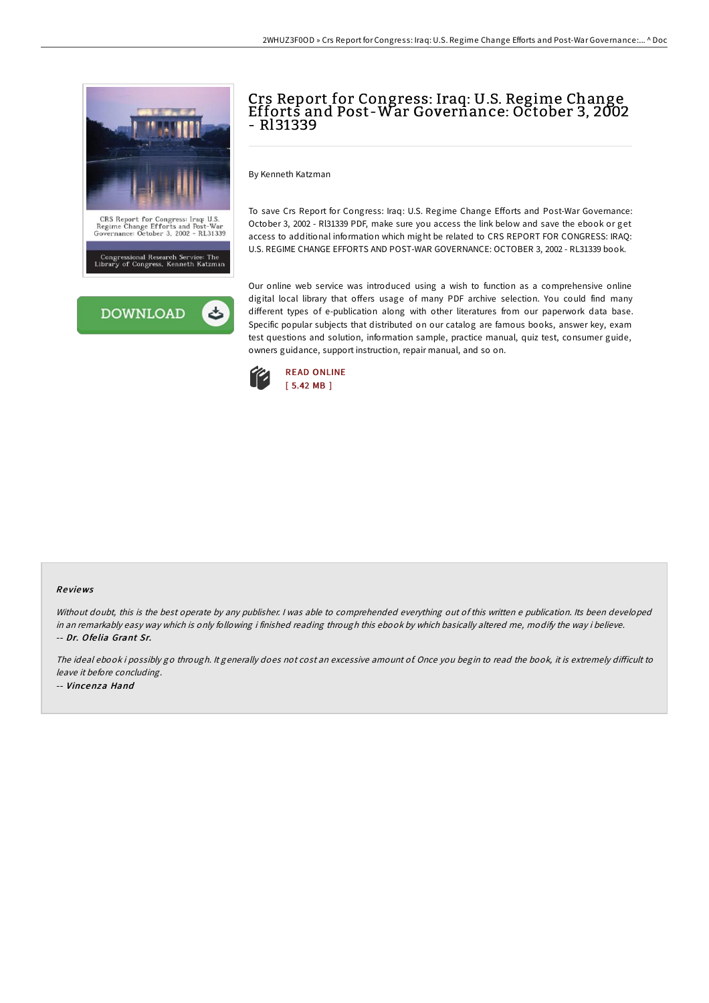



# Crs Report for Congress: Iraq: U.S. Regime Change Efforts and Post-War Governance: October 3, 2002 - Rl31339

By Kenneth Katzman

To save Crs Report for Congress: Iraq: U.S. Regime Change Efforts and Post-War Governance: October 3, 2002 - Rl31339 PDF, make sure you access the link below and save the ebook or get access to additional information which might be related to CRS REPORT FOR CONGRESS: IRAQ: U.S. REGIME CHANGE EFFORTS AND POST-WAR GOVERNANCE: OCTOBER 3, 2002 - RL31339 book.

Our online web service was introduced using a wish to function as a comprehensive online digital local library that offers usage of many PDF archive selection. You could find many different types of e-publication along with other literatures from our paperwork data base. Specific popular subjects that distributed on our catalog are famous books, answer key, exam test questions and solution, information sample, practice manual, quiz test, consumer guide, owners guidance, support instruction, repair manual, and so on.



#### Re views

Without doubt, this is the best operate by any publisher. <sup>I</sup> was able to comprehended everything out of this written <sup>e</sup> publication. Its been developed in an remarkably easy way which is only following i finished reading through this ebook by which basically altered me, modify the way i believe. -- Dr. Ofe lia Grant Sr.

The ideal ebook i possibly go through. It generally does not cost an excessive amount of. Once you begin to read the book, it is extremely difficult to leave it before concluding. -- Vincenza Hand